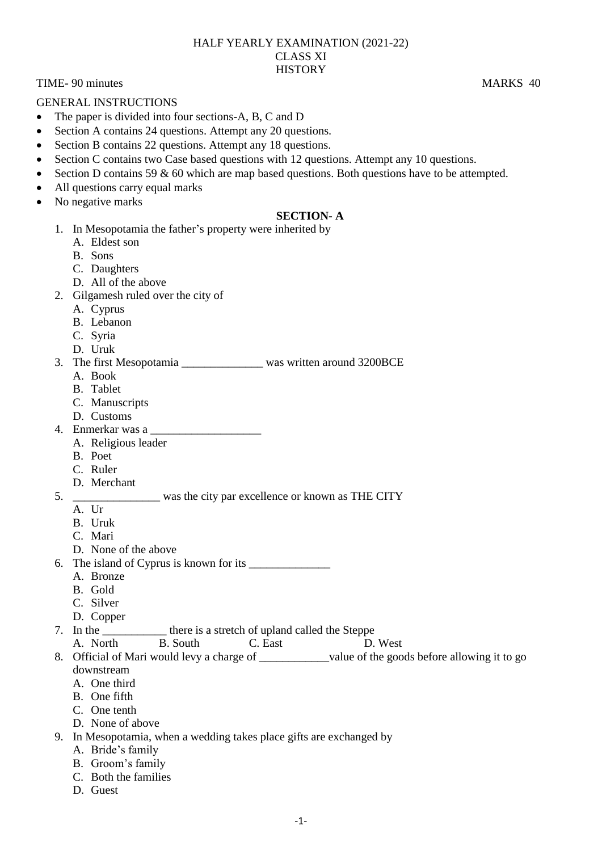#### HALF YEARLY EXAMINATION (2021-22) CLASS XI **HISTORY**

TIME-90 minutes MARKS 40

GENERAL INSTRUCTIONS

- The paper is divided into four sections-A, B, C and D
- Section A contains 24 questions. Attempt any 20 questions.
- Section B contains 22 questions. Attempt any 18 questions.
- Section C contains two Case based questions with 12 questions. Attempt any 10 questions.
- Section D contains 59 & 60 which are map based questions. Both questions have to be attempted.
- All questions carry equal marks
- No negative marks

### **SECTION- A**

- 1. In Mesopotamia the father's property were inherited by
	- A. Eldest son
	- B. Sons
	- C. Daughters
	- D. All of the above
- 2. Gilgamesh ruled over the city of
	- A. Cyprus
	- B. Lebanon
	- C. Syria
	- D. Uruk
- 3. The first Mesopotamia was written around 3200BCE
	- A. Book
	- B. Tablet
	- C. Manuscripts
	- D. Customs
- 4. Enmerkar was a \_\_\_\_\_\_\_\_\_\_\_\_\_\_\_\_\_\_\_
	- A. Religious leader
	- B. Poet
	- C. Ruler
	- D. Merchant

# 5. \_\_\_\_\_\_\_\_\_\_\_\_\_\_\_ was the city par excellence or known as THE CITY

- A IIr
- B. Uruk
- C. Mari
- D. None of the above
- 6. The island of Cyprus is known for its \_\_\_\_\_\_\_\_\_\_\_\_\_\_
	- A. Bronze
	- B. Gold
	- C. Silver
	-
- D. Copper there is a stretch of upland called the Steppe
	- A. North B. South C. East D. West
- 8. Official of Mari would levy a charge of \_\_\_\_\_\_\_\_\_\_\_\_value of the goods before allowing it to go downstream
	- A. One third
	- B. One fifth
	- C. One tenth
	- D. None of above
- 9. In Mesopotamia, when a wedding takes place gifts are exchanged by
	- A. Bride's family
	- B. Groom's family
	- C. Both the families
	- D. Guest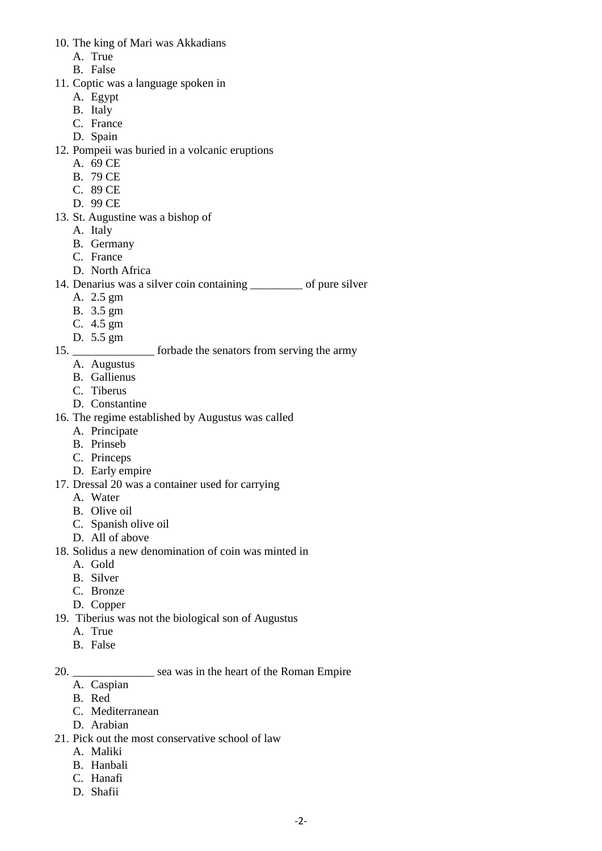- 10. The king of Mari was Akkadians
	- A. True
	- B. False
- 11. Coptic was a language spoken in
	- A. Egypt
	- B. Italy
	- C. France
	- D. Spain
- 12. Pompeii was buried in a volcanic eruptions
	- A. 69 CE
	- B. 79 CE
	- C. 89 CE
	- D. 99 CE
- 13. St. Augustine was a bishop of
	- A. Italy
	- B. Germany
	- C. France
	- D. North Africa
- 14. Denarius was a silver coin containing \_\_\_\_\_\_\_\_\_ of pure silver
	- A. 2.5 gm
	- B. 3.5 gm
	- C. 4.5 gm
	- D. 5.5 gm

### 15. **Example 15.** For forbade the senators from serving the army

- A. Augustus
- B. Gallienus
- C. Tiberus
- D. Constantine
- 16. The regime established by Augustus was called
	- A. Principate
	- B. Prinseb
	- C. Princeps
	- D. Early empire
- 17. Dressal 20 was a container used for carrying
	- A. Water
	- B. Olive oil
	- C. Spanish olive oil
	- D. All of above
- 18. Solidus a new denomination of coin was minted in
	- A. Gold
	- B. Silver
	- C. Bronze
	- D. Copper
- 19. Tiberius was not the biological son of Augustus
	- A. True
	- B. False

# 20. \_\_\_\_\_\_\_\_\_\_\_\_\_\_ sea was in the heart of the Roman Empire

- A. Caspian
- B. Red
- C. Mediterranean
- D. Arabian
- 21. Pick out the most conservative school of law
	- A. Maliki
	- B. Hanbali
	- C. Hanafi
	- D. Shafii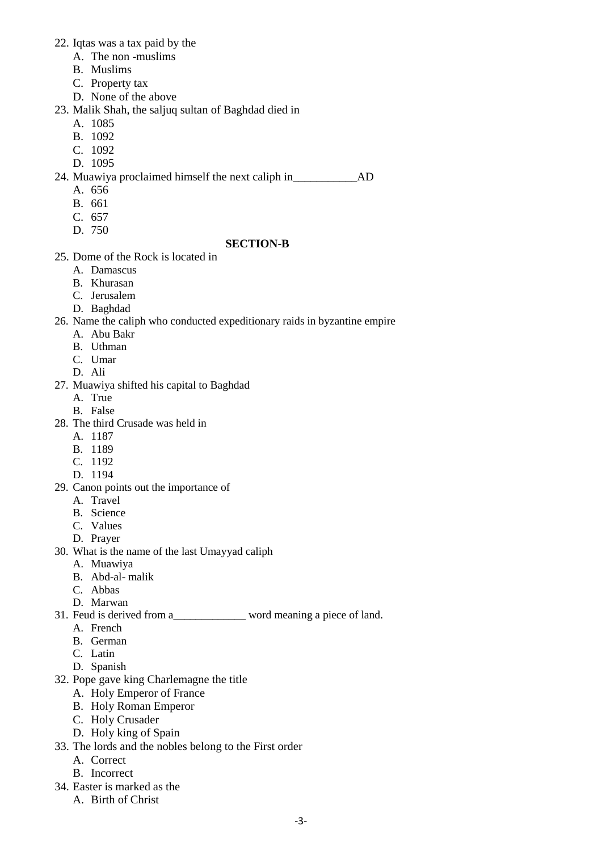- 22. Iqtas was a tax paid by the
	- A. The non -muslims
	- B. Muslims
	- C. Property tax
	- D. None of the above
- 23. Malik Shah, the saljuq sultan of Baghdad died in
	- A. 1085
	- B. 1092
	- C. 1092
	- D. 1095
- 24. Muawiya proclaimed himself the next caliph in  $AD$ 
	- A. 656
	- B. 661
	- C. 657
	- D. 750

### **SECTION-B**

- 25. Dome of the Rock is located in
	- A. Damascus
	- B. Khurasan
	- C. Jerusalem
	- D. Baghdad
- 26. Name the caliph who conducted expeditionary raids in byzantine empire
	- A. Abu Bakr
	- B. Uthman
	- C. Umar
	- D. Ali
- 27. Muawiya shifted his capital to Baghdad
	- A. True
	- B. False
- 28. The third Crusade was held in
	- A. 1187
	- B. 1189
	- C. 1192
	- D. 1194
- 29. Canon points out the importance of
	- A. Travel
	- B. Science
	- C. Values
	- D. Prayer
- 30. What is the name of the last Umayyad caliph
	- A. Muawiya
	- B. Abd-al- malik
	- C. Abbas
	- D. Marwan
- 31. Feud is derived from a\_\_\_\_\_\_\_\_\_\_\_\_\_ word meaning a piece of land.
	- A. French
	- B. German
	- C. Latin
	- D. Spanish
- 32. Pope gave king Charlemagne the title
	- A. Holy Emperor of France
	- B. Holy Roman Emperor
	- C. Holy Crusader
	- D. Holy king of Spain
- 33. The lords and the nobles belong to the First order
	- A. Correct
	- B. Incorrect
- 34. Easter is marked as the
	- A. Birth of Christ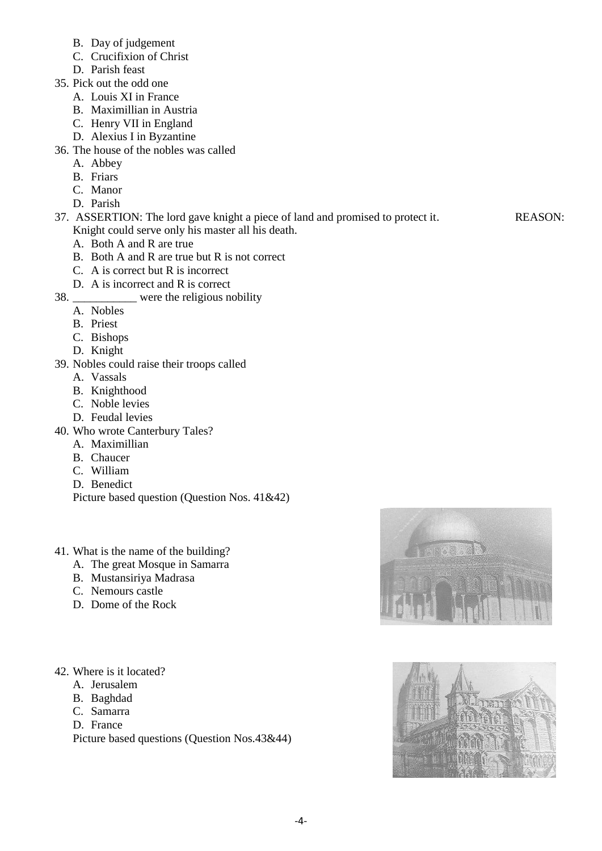- B. Day of judgement
- C. Crucifixion of Christ
- D. Parish feast
- 35. Pick out the odd one
	- A. Louis XI in France
	- B. Maximillian in Austria
	- C. Henry VII in England
	- D. Alexius I in Byzantine
- 36. The house of the nobles was called
	- A. Abbey
	- B. Friars
	- C. Manor
	- D. Parish
- 37. ASSERTION: The lord gave knight a piece of land and promised to protect it. REASON: Knight could serve only his master all his death.
	- A. Both A and R are true
	- B. Both A and R are true but R is not correct
	- C. A is correct but R is incorrect
	- D. A is incorrect and R is correct
- 38. \_\_\_\_\_\_\_\_\_\_\_ were the religious nobility
	- A. Nobles
	- B. Priest
	- C. Bishops
	- D. Knight
- 39. Nobles could raise their troops called
	- A. Vassals
	- B. Knighthood
	- C. Noble levies
	- D. Feudal levies
- 40. Who wrote Canterbury Tales?
	- A. Maximillian
	- B. Chaucer
	- C. William
	- D. Benedict

Picture based question (Question Nos. 41&42)

# 41. What is the name of the building?

- A. The great Mosque in Samarra
- B. Mustansiriya Madrasa
- C. Nemours castle
- D. Dome of the Rock

### 42. Where is it located?

- A. Jerusalem
- B. Baghdad
- C. Samarra
- D. France

Picture based questions (Question Nos.43&44)



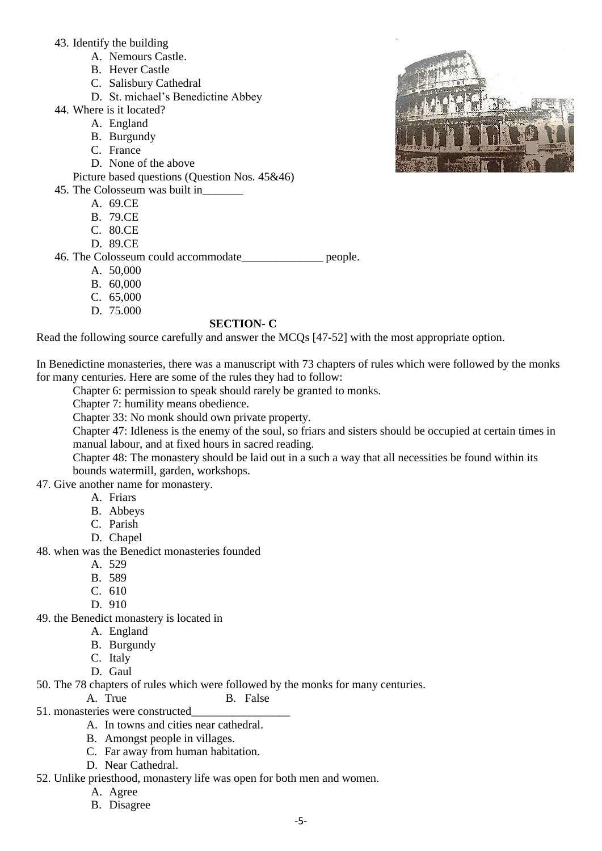43. Identify the building

- A. Nemours Castle.
- B. Hever Castle
- C. Salisbury Cathedral
- D. St. michael's Benedictine Abbey
- 44. Where is it located?
	- A. England
	- B. Burgundy
	- C. France
	- D. None of the above

Picture based questions (Question Nos. 45&46)

- 45. The Colosseum was built in\_\_\_\_\_\_\_
	- A. 69.CE
	- B. 79.CE
	- C. 80.CE
	- D. 89.CE

### 46. The Colosseum could accommodate\_\_\_\_\_\_\_\_\_\_\_\_\_\_ people.

- A. 50,000
- B. 60,000
- C. 65,000
- D. 75.000

#### **SECTION- C**

Read the following source carefully and answer the MCQs [47-52] with the most appropriate option.

In Benedictine monasteries, there was a manuscript with 73 chapters of rules which were followed by the monks for many centuries. Here are some of the rules they had to follow:

Chapter 6: permission to speak should rarely be granted to monks.

Chapter 7: humility means obedience.

Chapter 33: No monk should own private property.

Chapter 47: Idleness is the enemy of the soul, so friars and sisters should be occupied at certain times in manual labour, and at fixed hours in sacred reading.

Chapter 48: The monastery should be laid out in a such a way that all necessities be found within its bounds watermill, garden, workshops.

47. Give another name for monastery.

- A. Friars
- B. Abbeys
- C. Parish
- D. Chapel

48. when was the Benedict monasteries founded

- A. 529
- B. 589
- C. 610
- D. 910

49. the Benedict monastery is located in

- A. England
- B. Burgundy
- C. Italy
- D. Gaul

50. The 78 chapters of rules which were followed by the monks for many centuries.

- A. True B. False
- 51. monasteries were constructed\_\_\_\_\_\_\_\_\_\_\_\_\_\_\_\_\_
	- A. In towns and cities near cathedral.
	- B. Amongst people in villages.
	- C. Far away from human habitation.
	- D. Near Cathedral.

52. Unlike priesthood, monastery life was open for both men and women.

- A. Agree
- B. Disagree

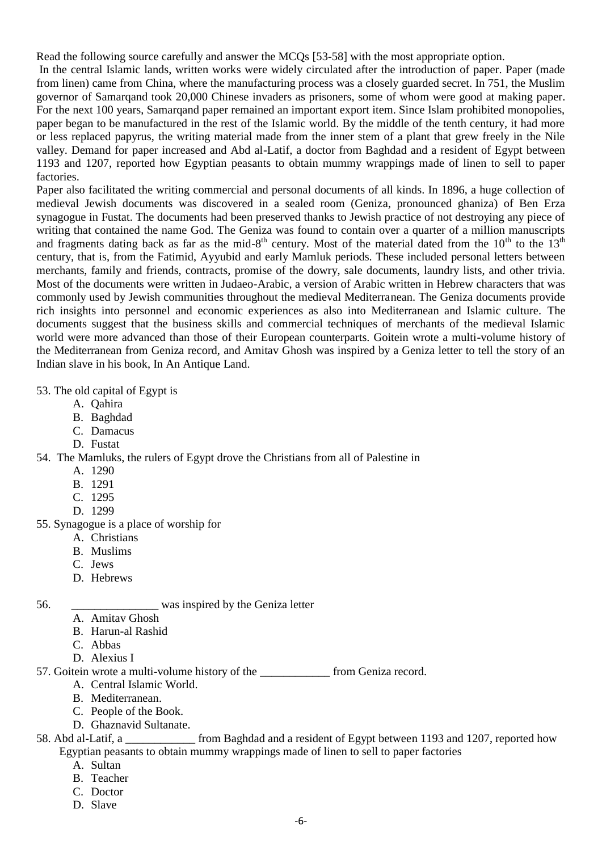Read the following source carefully and answer the MCQs [53-58] with the most appropriate option.

In the central Islamic lands, written works were widely circulated after the introduction of paper. Paper (made from linen) came from China, where the manufacturing process was a closely guarded secret. In 751, the Muslim governor of Samarqand took 20,000 Chinese invaders as prisoners, some of whom were good at making paper. For the next 100 years, Samarqand paper remained an important export item. Since Islam prohibited monopolies, paper began to be manufactured in the rest of the Islamic world. By the middle of the tenth century, it had more or less replaced papyrus, the writing material made from the inner stem of a plant that grew freely in the Nile valley. Demand for paper increased and Abd al-Latif, a doctor from Baghdad and a resident of Egypt between 1193 and 1207, reported how Egyptian peasants to obtain mummy wrappings made of linen to sell to paper factories.

Paper also facilitated the writing commercial and personal documents of all kinds. In 1896, a huge collection of medieval Jewish documents was discovered in a sealed room (Geniza, pronounced ghaniza) of Ben Erza synagogue in Fustat. The documents had been preserved thanks to Jewish practice of not destroying any piece of writing that contained the name God. The Geniza was found to contain over a quarter of a million manuscripts and fragments dating back as far as the mid-8<sup>th</sup> century. Most of the material dated from the  $10^{th}$  to the  $13^{th}$ century, that is, from the Fatimid, Ayyubid and early Mamluk periods. These included personal letters between merchants, family and friends, contracts, promise of the dowry, sale documents, laundry lists, and other trivia. Most of the documents were written in Judaeo-Arabic, a version of Arabic written in Hebrew characters that was commonly used by Jewish communities throughout the medieval Mediterranean. The Geniza documents provide rich insights into personnel and economic experiences as also into Mediterranean and Islamic culture. The documents suggest that the business skills and commercial techniques of merchants of the medieval Islamic world were more advanced than those of their European counterparts. Goitein wrote a multi-volume history of the Mediterranean from Geniza record, and Amitav Ghosh was inspired by a Geniza letter to tell the story of an Indian slave in his book, In An Antique Land.

### 53. The old capital of Egypt is

- A. Qahira
- B. Baghdad
- C. Damacus
- D. Fustat

54. The Mamluks, the rulers of Egypt drove the Christians from all of Palestine in

- A. 1290
- B. 1291
- C. 1295
- D. 1299
- 55. Synagogue is a place of worship for
	- A. Christians
	- B. Muslims
	- C. Jews
	- D. Hebrews

56. \_\_\_\_\_\_\_\_\_\_\_\_\_\_\_ was inspired by the Geniza letter

- A. Amitav Ghosh
- B. Harun-al Rashid
- C. Abbas
- D. Alexius I

57. Goitein wrote a multi-volume history of the from Geniza record.

- A. Central Islamic World.
- B. Mediterranean.
- C. People of the Book.
- D. Ghaznavid Sultanate.

58. Abd al-Latif, a \_\_\_\_\_\_\_\_\_\_\_\_ from Baghdad and a resident of Egypt between 1193 and 1207, reported how Egyptian peasants to obtain mummy wrappings made of linen to sell to paper factories

- A. Sultan
- B. Teacher
- C. Doctor
- D. Slave